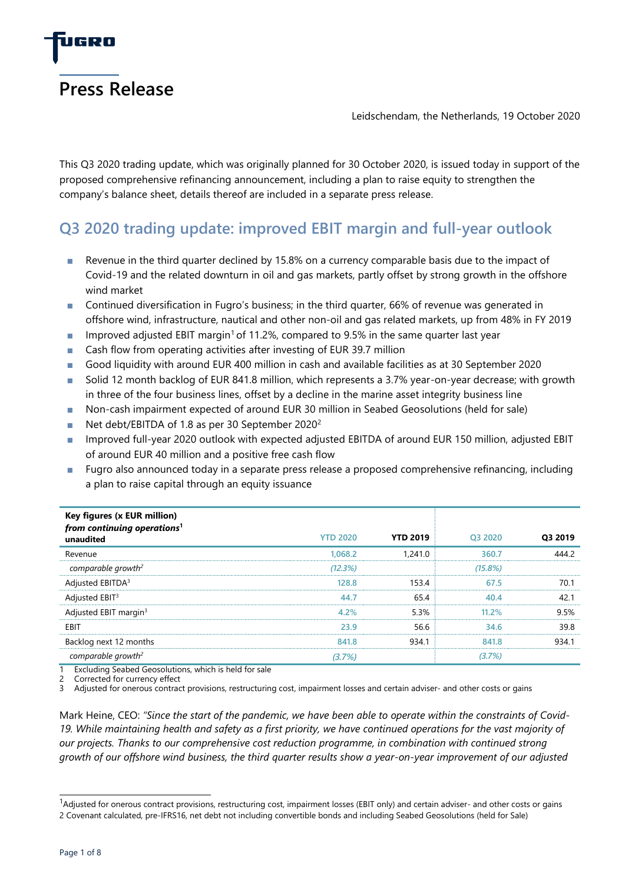

Leidschendam, the Netherlands, 19 October 2020

This Q3 2020 trading update, which was originally planned for 30 October 2020, is issued today in support of the proposed comprehensive refinancing announcement, including a plan to raise equity to strengthen the company's balance sheet, details thereof are included in a separate press release.

# **Q3 2020 trading update: improved EBIT margin and full-year outlook**

- Revenue in the third quarter declined by 15.8% on a currency comparable basis due to the impact of Covid-19 and the related downturn in oil and gas markets, partly offset by strong growth in the offshore wind market
- Continued diversification in Fugro's business; in the third quarter, 66% of revenue was generated in offshore wind, infrastructure, nautical and other non-oil and gas related markets, up from 48% in FY 2019
- **■** Improved adjusted EBIT margin<sup>1</sup> of 11.2%, compared to 9.5% in the same quarter last year
- Cash flow from operating activities after investing of EUR 39.7 million
- Good liquidity with around EUR 400 million in cash and available facilities as at 30 September 2020
- Solid 12 month backlog of EUR 841.8 million, which represents a 3.7% year-on-year decrease; with growth in three of the four business lines, offset by a decline in the marine asset integrity business line
- Non-cash impairment expected of around EUR 30 million in Seabed Geosolutions (held for sale)
- Net debt/EBITDA of 1.8 as per 30 September 2020<sup>2</sup>
- Improved full-year 2020 outlook with expected adjusted EBITDA of around EUR 150 million, adjusted EBIT of around EUR 40 million and a positive free cash flow
- Fugro also announced today in a separate press release a proposed comprehensive refinancing, including a plan to raise capital through an equity issuance

| Key figures (x EUR million)<br>from continuing operations <sup>1</sup> |                 |                 |          |         |
|------------------------------------------------------------------------|-----------------|-----------------|----------|---------|
| unaudited                                                              | <b>YTD 2020</b> | <b>YTD 2019</b> | Q3 2020  | Q3 2019 |
| Revenue                                                                | 1.068.2         | 1,241.0         | 360.7    | 444.2   |
| comparable growth <sup>2</sup>                                         | (12.3%)         |                 | (15.8%)  |         |
| Adjusted EBITDA <sup>3</sup>                                           | 128.8           | 153.4           | 67.5     | 70.1    |
| Adjusted EBIT <sup>3</sup>                                             | 44.7            | 65.4            | 40.4     | 42.1    |
| Adjusted EBIT margin <sup>3</sup>                                      | 4.2%            | 5.3%            | $11.2\%$ | 9.5%    |
| EBIT                                                                   | 23.9            | 56.6            | 34.6     | 39.8    |
| Backlog next 12 months                                                 | 841.8           | 934.1           | 841.8    | 934.1   |
| comparable growth <sup>2</sup>                                         | (3.7%)          |                 | (3.7%)   |         |

Excluding Seabed Geosolutions, which is held for sale

Corrected for currency effect

3 Adjusted for onerous contract provisions, restructuring cost, impairment losses and certain adviser- and other costs or gains

Mark Heine, CEO: *"Since the start of the pandemic, we have been able to operate within the constraints of Covid-19. While maintaining health and safety as a first priority, we have continued operations for the vast majority of our projects. Thanks to our comprehensive cost reduction programme, in combination with continued strong growth of our offshore wind business, the third quarter results show a year-on-year improvement of our adjusted* 

 $1$ Adjusted for onerous contract provisions, restructuring cost, impairment losses (EBIT only) and certain adviser- and other costs or gains 2 Covenant calculated, pre-IFRS16, net debt not including convertible bonds and including Seabed Geosolutions (held for Sale)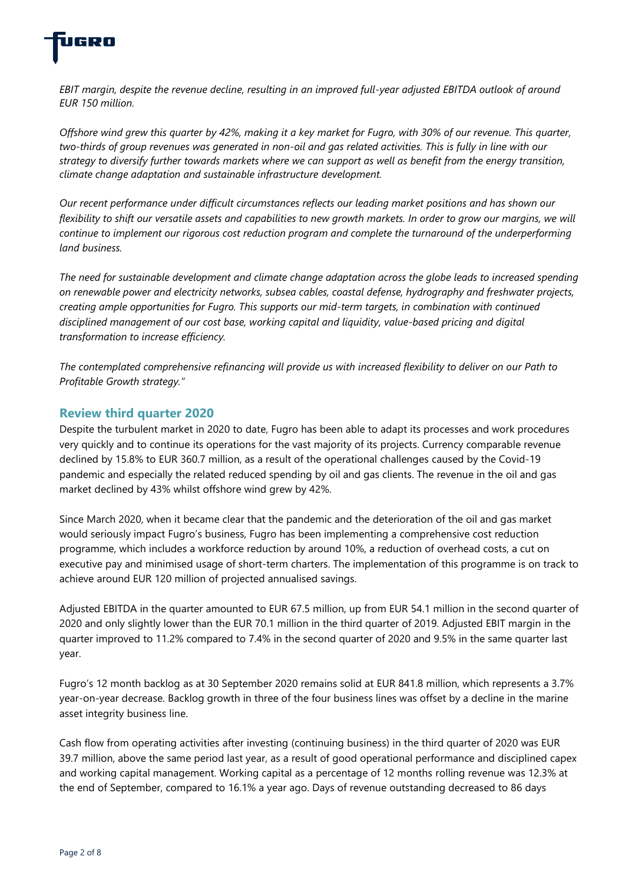

*EBIT margin, despite the revenue decline, resulting in an improved full-year adjusted EBITDA outlook of around EUR 150 million.* 

*Offshore wind grew this quarter by 42%, making it a key market for Fugro, with 30% of our revenue. This quarter, two-thirds of group revenues was generated in non-oil and gas related activities. This is fully in line with our strategy to diversify further towards markets where we can support as well as benefit from the energy transition, climate change adaptation and sustainable infrastructure development.* 

*Our recent performance under difficult circumstances reflects our leading market positions and has shown our flexibility to shift our versatile assets and capabilities to new growth markets. In order to grow our margins, we will continue to implement our rigorous cost reduction program and complete the turnaround of the underperforming land business.* 

*The need for sustainable development and climate change adaptation across the globe leads to increased spending on renewable power and electricity networks, subsea cables, coastal defense, hydrography and freshwater projects, creating ample opportunities for Fugro. This supports our mid-term targets, in combination with continued disciplined management of our cost base, working capital and liquidity, value-based pricing and digital transformation to increase efficiency.*

*The contemplated comprehensive refinancing will provide us with increased flexibility to deliver on our Path to Profitable Growth strategy."*

# **Review third quarter 2020**

Despite the turbulent market in 2020 to date, Fugro has been able to adapt its processes and work procedures very quickly and to continue its operations for the vast majority of its projects. Currency comparable revenue declined by 15.8% to EUR 360.7 million, as a result of the operational challenges caused by the Covid-19 pandemic and especially the related reduced spending by oil and gas clients. The revenue in the oil and gas market declined by 43% whilst offshore wind grew by 42%.

Since March 2020, when it became clear that the pandemic and the deterioration of the oil and gas market would seriously impact Fugro's business, Fugro has been implementing a comprehensive cost reduction programme, which includes a workforce reduction by around 10%, a reduction of overhead costs, a cut on executive pay and minimised usage of short-term charters. The implementation of this programme is on track to achieve around EUR 120 million of projected annualised savings.

Adjusted EBITDA in the quarter amounted to EUR 67.5 million, up from EUR 54.1 million in the second quarter of 2020 and only slightly lower than the EUR 70.1 million in the third quarter of 2019. Adjusted EBIT margin in the quarter improved to 11.2% compared to 7.4% in the second quarter of 2020 and 9.5% in the same quarter last year.

Fugro's 12 month backlog as at 30 September 2020 remains solid at EUR 841.8 million, which represents a 3.7% year-on-year decrease. Backlog growth in three of the four business lines was offset by a decline in the marine asset integrity business line.

Cash flow from operating activities after investing (continuing business) in the third quarter of 2020 was EUR 39.7 million, above the same period last year, as a result of good operational performance and disciplined capex and working capital management. Working capital as a percentage of 12 months rolling revenue was 12.3% at the end of September, compared to 16.1% a year ago. Days of revenue outstanding decreased to 86 days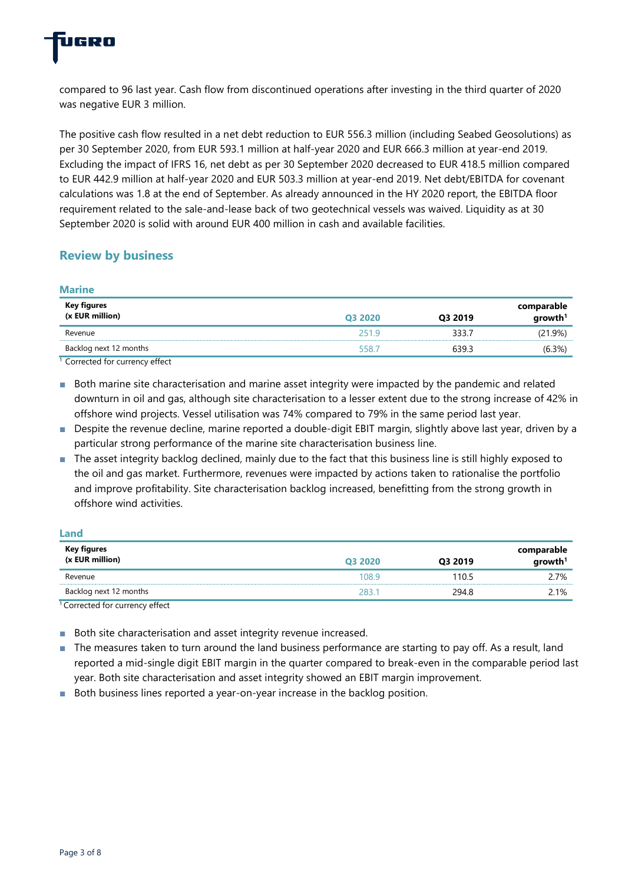

compared to 96 last year. Cash flow from discontinued operations after investing in the third quarter of 2020 was negative EUR 3 million.

The positive cash flow resulted in a net debt reduction to EUR 556.3 million (including Seabed Geosolutions) as per 30 September 2020, from EUR 593.1 million at half-year 2020 and EUR 666.3 million at year-end 2019. Excluding the impact of IFRS 16, net debt as per 30 September 2020 decreased to EUR 418.5 million compared to EUR 442.9 million at half-year 2020 and EUR 503.3 million at year-end 2019. Net debt/EBITDA for covenant calculations was 1.8 at the end of September. As already announced in the HY 2020 report, the EBITDA floor requirement related to the sale-and-lease back of two geotechnical vessels was waived. Liquidity as at 30 September 2020 is solid with around EUR 400 million in cash and available facilities.

# **Review by business**

**Marine**

| <u>iviarine</u>                  |         |         |                                   |
|----------------------------------|---------|---------|-----------------------------------|
| Key figures<br>$(x$ EUR million) | Q3 2020 | Q3 2019 | comparable<br>growth <sup>1</sup> |
| Revenue                          | 251.9   | 333.7   | (21.9%)                           |
| Backlog next 12 months           | 558.7   | 639.3   | (6.3%)                            |
| Corrected for currency offect    |         |         |                                   |

Corrected for currency effect

■ Both marine site characterisation and marine asset integrity were impacted by the pandemic and related downturn in oil and gas, although site characterisation to a lesser extent due to the strong increase of 42% in offshore wind projects. Vessel utilisation was 74% compared to 79% in the same period last year.

- Despite the revenue decline, marine reported a double-digit EBIT margin, slightly above last year, driven by a particular strong performance of the marine site characterisation business line.
- The asset integrity backlog declined, mainly due to the fact that this business line is still highly exposed to the oil and gas market. Furthermore, revenues were impacted by actions taken to rationalise the portfolio and improve profitability. Site characterisation backlog increased, benefitting from the strong growth in offshore wind activities.

| Land                   |         |         |                                               |
|------------------------|---------|---------|-----------------------------------------------|
| Key figures            |         |         |                                               |
| $(x$ EUR million)      | Q3 2020 | Q3 2019 | comparable<br>$\qquad \qquad \text{growth}^1$ |
| Revenue                | 108.9   | 110.5   | 2.7%                                          |
| Backlog next 12 months | 2831    | 294.8   | 2.1%                                          |

<sup>1</sup> Corrected for currency effect

- Both site characterisation and asset integrity revenue increased.
- The measures taken to turn around the land business performance are starting to pay off. As a result, land reported a mid-single digit EBIT margin in the quarter compared to break-even in the comparable period last year. Both site characterisation and asset integrity showed an EBIT margin improvement.
- Both business lines reported a year-on-year increase in the backlog position.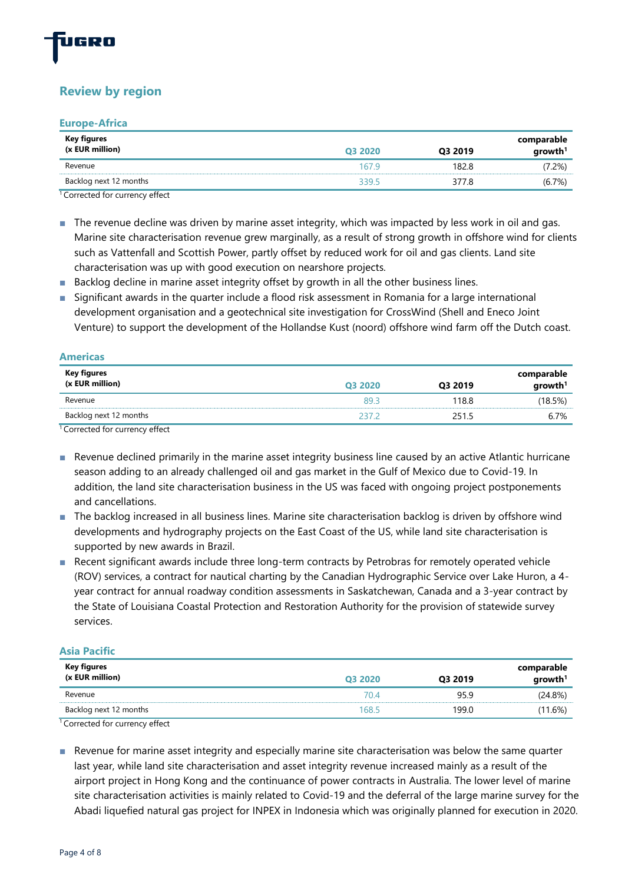

# **Review by region**

#### **Europe-Africa**

| Key figures<br>(x EUR million)     | 03 2020 | Q3 2019 | comparable<br>growth <sup>1</sup> |
|------------------------------------|---------|---------|-----------------------------------|
| Revenue                            | 1679    | 182.8   | (7.2%)                            |
| Backlog next 12 months             | 3395    | 3778    | (6.7%)                            |
| $10$ carroched for currence of $4$ |         |         |                                   |

<sup>1</sup>Corrected for currency effect

- The revenue decline was driven by marine asset integrity, which was impacted by less work in oil and gas. Marine site characterisation revenue grew marginally, as a result of strong growth in offshore wind for clients such as Vattenfall and Scottish Power, partly offset by reduced work for oil and gas clients. Land site characterisation was up with good execution on nearshore projects.
- Backlog decline in marine asset integrity offset by growth in all the other business lines.
- Significant awards in the quarter include a flood risk assessment in Romania for a large international development organisation and a geotechnical site investigation for CrossWind (Shell and Eneco Joint Venture) to support the development of the Hollandse Kust (noord) offshore wind farm off the Dutch coast.

| Americas                       |         |         |                                   |
|--------------------------------|---------|---------|-----------------------------------|
| Key figures<br>(x EUR million) | Q3 2020 | Q3 2019 | comparable<br>growth <sup>1</sup> |
| Revenue                        | 893     | 118.8   | (18.5%)                           |
| Backlog next 12 months         | 2372    | 251.5   | 6.7%                              |
|                                |         |         |                                   |

<sup>1</sup>Corrected for currency effect

**Americas**

- Revenue declined primarily in the marine asset integrity business line caused by an active Atlantic hurricane season adding to an already challenged oil and gas market in the Gulf of Mexico due to Covid-19. In addition, the land site characterisation business in the US was faced with ongoing project postponements and cancellations.
- The backlog increased in all business lines. Marine site characterisation backlog is driven by offshore wind developments and hydrography projects on the East Coast of the US, while land site characterisation is supported by new awards in Brazil.
- Recent significant awards include three long-term contracts by Petrobras for remotely operated vehicle (ROV) services, a contract for nautical charting by the Canadian Hydrographic Service over Lake Huron, a 4 year contract for annual roadway condition assessments in Saskatchewan, Canada and a 3-year contract by the State of Louisiana Coastal Protection and Restoration Authority for the provision of statewide survey services.

#### **Asia Pacific**

| Key figures<br>$(x$ EUR million) | Q3 2020 | Q3 2019 | comparable<br>$q$ rowth <sup>1</sup> |
|----------------------------------|---------|---------|--------------------------------------|
| Revenue                          | 70.4    | 95.9    | (24.8%)                              |
| Backlog next 12 months           | 168.5   | 199.0   | (11.6%                               |
|                                  |         |         |                                      |

<sup>1</sup>Corrected for currency effect

■ Revenue for marine asset integrity and especially marine site characterisation was below the same quarter last year, while land site characterisation and asset integrity revenue increased mainly as a result of the airport project in Hong Kong and the continuance of power contracts in Australia. The lower level of marine site characterisation activities is mainly related to Covid-19 and the deferral of the large marine survey for the Abadi liquefied natural gas project for INPEX in Indonesia which was originally planned for execution in 2020.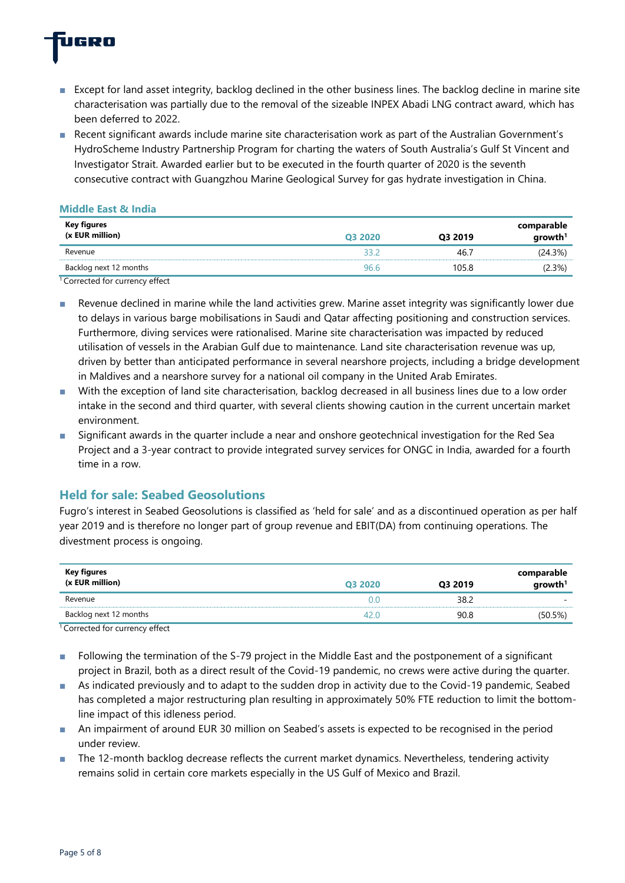

- Except for land asset integrity, backlog declined in the other business lines. The backlog decline in marine site characterisation was partially due to the removal of the sizeable INPEX Abadi LNG contract award, which has been deferred to 2022.
- Recent significant awards include marine site characterisation work as part of the Australian Government's HydroScheme Industry Partnership Program for charting the waters of South Australia's Gulf St Vincent and Investigator Strait. Awarded earlier but to be executed in the fourth quarter of 2020 is the seventh consecutive contract with Guangzhou Marine Geological Survey for gas hydrate investigation in China.

#### **Middle East & India**

| Key figures<br>(x EUR million)                                    | Q3 2020 | Q3 2019 | comparable<br>growth <sup>1</sup> |
|-------------------------------------------------------------------|---------|---------|-----------------------------------|
| Revenue                                                           |         | 46.7    | (24.3%)                           |
| Backlog next 12 months                                            | 96.6    | 105.8   | $(2.3\%)$                         |
| $\overline{\phantom{0}}$<br>$\epsilon$<br>$\cdot$ $\cdot$ $\cdot$ |         |         |                                   |

Corrected for currency effect

- Revenue declined in marine while the land activities grew. Marine asset integrity was significantly lower due to delays in various barge mobilisations in Saudi and Qatar affecting positioning and construction services. Furthermore, diving services were rationalised. Marine site characterisation was impacted by reduced utilisation of vessels in the Arabian Gulf due to maintenance. Land site characterisation revenue was up, driven by better than anticipated performance in several nearshore projects, including a bridge development in Maldives and a nearshore survey for a national oil company in the United Arab Emirates.
- With the exception of land site characterisation, backlog decreased in all business lines due to a low order intake in the second and third quarter, with several clients showing caution in the current uncertain market environment.
- Significant awards in the quarter include a near and onshore geotechnical investigation for the Red Sea Project and a 3-year contract to provide integrated survey services for ONGC in India, awarded for a fourth time in a row.

# **Held for sale: Seabed Geosolutions**

Fugro's interest in Seabed Geosolutions is classified as 'held for sale' and as a discontinued operation as per half year 2019 and is therefore no longer part of group revenue and EBIT(DA) from continuing operations. The divestment process is ongoing.

| Key figures<br>$(x$ EUR million) | Q3 2020 | Q3 2019 | comparable<br>growth <sup>1</sup> |
|----------------------------------|---------|---------|-----------------------------------|
| Revenue                          | D O     | 38.2    | $\overline{\phantom{a}}$          |
| Backlog next 12 months           |         | 90.8    | (50.5%)                           |

<sup>1</sup> Corrected for currency effect

- Following the termination of the S-79 project in the Middle East and the postponement of a significant project in Brazil, both as a direct result of the Covid-19 pandemic, no crews were active during the quarter.
- As indicated previously and to adapt to the sudden drop in activity due to the Covid-19 pandemic, Seabed has completed a major restructuring plan resulting in approximately 50% FTE reduction to limit the bottomline impact of this idleness period.
- An impairment of around EUR 30 million on Seabed's assets is expected to be recognised in the period under review.
- The 12-month backlog decrease reflects the current market dynamics. Nevertheless, tendering activity remains solid in certain core markets especially in the US Gulf of Mexico and Brazil.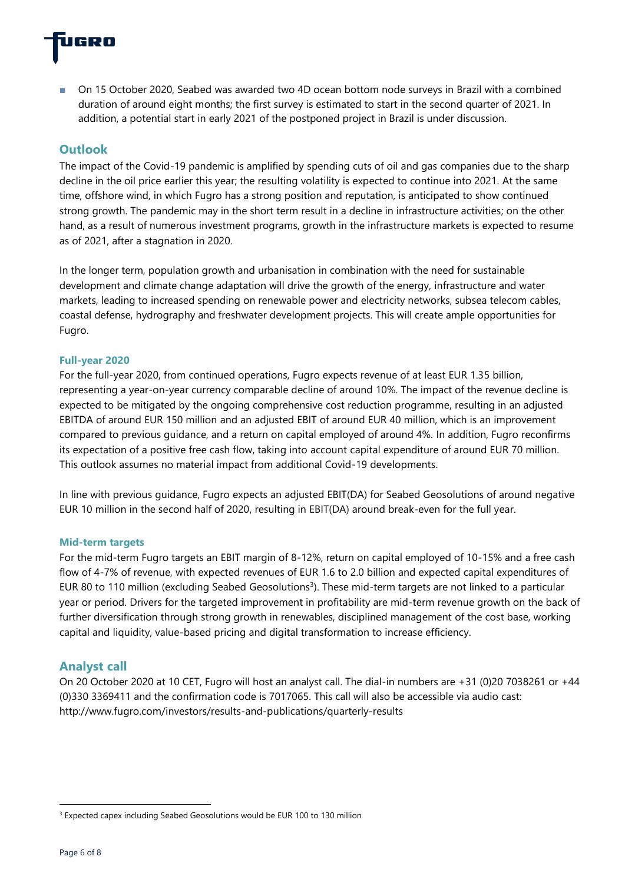

■ On 15 October 2020, Seabed was awarded two 4D ocean bottom node surveys in Brazil with a combined duration of around eight months; the first survey is estimated to start in the second quarter of 2021. In addition, a potential start in early 2021 of the postponed project in Brazil is under discussion.

# **Outlook**

The impact of the Covid-19 pandemic is amplified by spending cuts of oil and gas companies due to the sharp decline in the oil price earlier this year; the resulting volatility is expected to continue into 2021. At the same time, offshore wind, in which Fugro has a strong position and reputation, is anticipated to show continued strong growth. The pandemic may in the short term result in a decline in infrastructure activities; on the other hand, as a result of numerous investment programs, growth in the infrastructure markets is expected to resume as of 2021, after a stagnation in 2020.

In the longer term, population growth and urbanisation in combination with the need for sustainable development and climate change adaptation will drive the growth of the energy, infrastructure and water markets, leading to increased spending on renewable power and electricity networks, subsea telecom cables, coastal defense, hydrography and freshwater development projects. This will create ample opportunities for Fugro.

#### **Full-year 2020**

For the full-year 2020, from continued operations, Fugro expects revenue of at least EUR 1.35 billion, representing a year-on-year currency comparable decline of around 10%. The impact of the revenue decline is expected to be mitigated by the ongoing comprehensive cost reduction programme, resulting in an adjusted EBITDA of around EUR 150 million and an adjusted EBIT of around EUR 40 million, which is an improvement compared to previous guidance, and a return on capital employed of around 4%. In addition, Fugro reconfirms its expectation of a positive free cash flow, taking into account capital expenditure of around EUR 70 million. This outlook assumes no material impact from additional Covid-19 developments.

In line with previous guidance, Fugro expects an adjusted EBIT(DA) for Seabed Geosolutions of around negative EUR 10 million in the second half of 2020, resulting in EBIT(DA) around break-even for the full year.

#### **Mid-term targets**

For the mid-term Fugro targets an EBIT margin of 8-12%, return on capital employed of 10-15% and a free cash flow of 4-7% of revenue, with expected revenues of EUR 1.6 to 2.0 billion and expected capital expenditures of EUR 80 to 110 million (excluding Seabed Geosolutions<sup>3</sup>). These mid-term targets are not linked to a particular year or period. Drivers for the targeted improvement in profitability are mid-term revenue growth on the back of further diversification through strong growth in renewables, disciplined management of the cost base, working capital and liquidity, value-based pricing and digital transformation to increase efficiency.

# **Analyst call**

On 20 October 2020 at 10 CET, Fugro will host an analyst call. The dial-in numbers are +31 (0)20 7038261 or +44 (0)330 3369411 and the confirmation code is 7017065. This call will also be accessible via audio cast: http://www.fugro.com/investors/results-and-publications/quarterly-results

<sup>&</sup>lt;sup>3</sup> Expected capex including Seabed Geosolutions would be EUR 100 to 130 million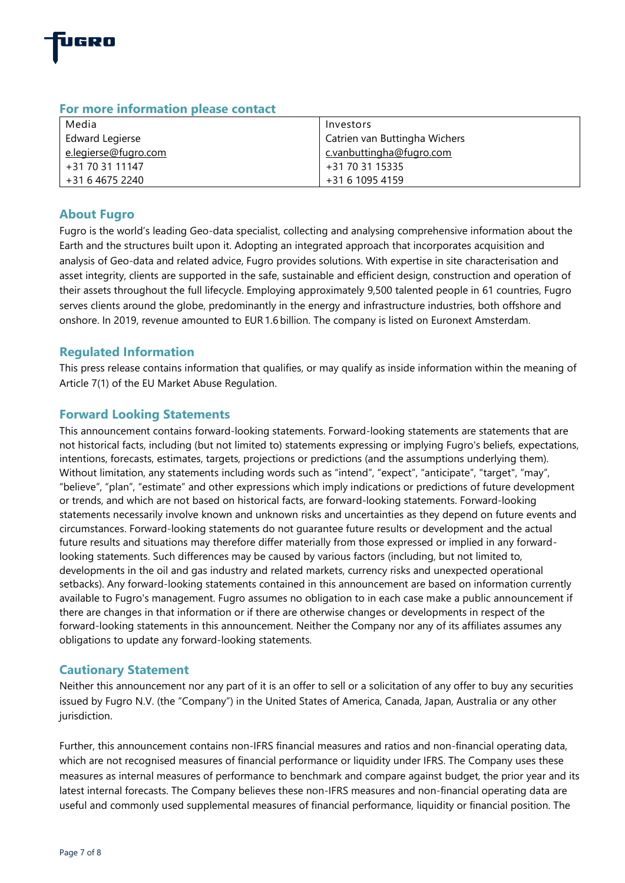

| Media                | Investors                     |
|----------------------|-------------------------------|
| Edward Legierse      | Catrien van Buttingha Wichers |
| e.legierse@fugro.com | c.vanbuttingha@fugro.com      |
| +31 70 31 11147      | +31 70 31 15335               |
| +31 6 4675 2240      | +31 6 1095 4159               |

# **For more information please contact**

# **About Fugro**

Fugro is the world's leading Geo-data specialist, collecting and analysing comprehensive information about the Earth and the structures built upon it. Adopting an integrated approach that incorporates acquisition and analysis of Geo-data and related advice, Fugro provides solutions. With expertise in site characterisation and asset integrity, clients are supported in the safe, sustainable and efficient design, construction and operation of their assets throughout the full lifecycle. Employing approximately 9,500 talented people in 61 countries, Fugro serves clients around the globe, predominantly in the energy and infrastructure industries, both offshore and onshore. In 2019, revenue amounted to EUR 1.6 billion. The company is listed on Euronext Amsterdam.

# **Regulated Information**

This press release contains information that qualifies, or may qualify as inside information within the meaning of Article 7(1) of the EU Market Abuse Regulation.

# **Forward Looking Statements**

This announcement contains forward-looking statements. Forward-looking statements are statements that are not historical facts, including (but not limited to) statements expressing or implying Fugro's beliefs, expectations, intentions, forecasts, estimates, targets, projections or predictions (and the assumptions underlying them). Without limitation, any statements including words such as "intend", "expect", "anticipate", "target", "may", "believe", "plan", "estimate" and other expressions which imply indications or predictions of future development or trends, and which are not based on historical facts, are forward-looking statements. Forward-looking statements necessarily involve known and unknown risks and uncertainties as they depend on future events and circumstances. Forward-looking statements do not guarantee future results or development and the actual future results and situations may therefore differ materially from those expressed or implied in any forwardlooking statements. Such differences may be caused by various factors (including, but not limited to, developments in the oil and gas industry and related markets, currency risks and unexpected operational setbacks). Any forward-looking statements contained in this announcement are based on information currently available to Fugro's management. Fugro assumes no obligation to in each case make a public announcement if there are changes in that information or if there are otherwise changes or developments in respect of the forward-looking statements in this announcement. Neither the Company nor any of its affiliates assumes any obligations to update any forward-looking statements.

# **Cautionary Statement**

Neither this announcement nor any part of it is an offer to sell or a solicitation of any offer to buy any securities issued by Fugro N.V. (the "Company") in the United States of America, Canada, Japan, Australia or any other jurisdiction.

Further, this announcement contains non-IFRS financial measures and ratios and non-financial operating data, which are not recognised measures of financial performance or liquidity under IFRS. The Company uses these measures as internal measures of performance to benchmark and compare against budget, the prior year and its latest internal forecasts. The Company believes these non-IFRS measures and non-financial operating data are useful and commonly used supplemental measures of financial performance, liquidity or financial position. The